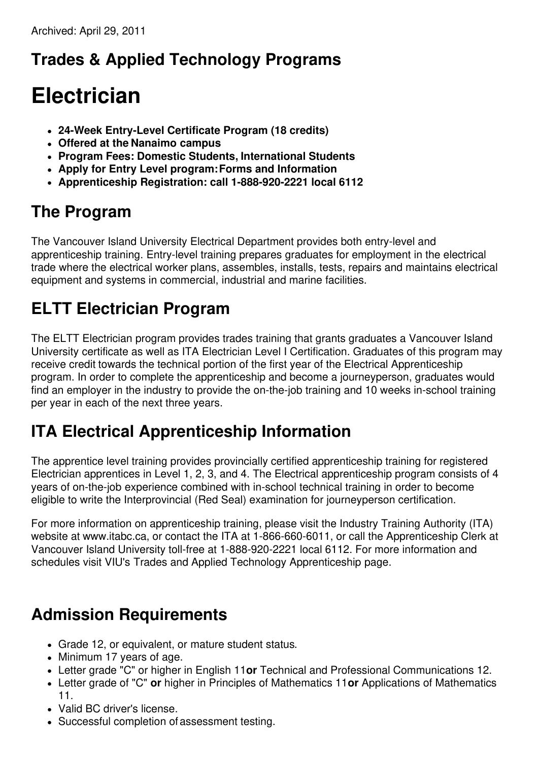### **Trades & Applied Technology Programs**

# **Electrician**

- **24-Week Entry-Level Certificate Program (18 credits)**
- **Offered at the Nanaimo campus**
- **Program Fees: Domestic Students, International Students**
- **Apply for Entry Level program:Forms and Information**
- **Apprenticeship Registration: call 1-888-920-2221 local 6112**

#### **The Program**

The Vancouver Island University Electrical Department provides both entry-level and apprenticeship training. Entry-level training prepares graduates for employment in the electrical trade where the electrical worker plans, assembles, installs, tests, repairs and maintains electrical equipment and systems in commercial, industrial and marine facilities.

## **ELTT Electrician Program**

The ELTT Electrician program provides trades training that grants graduates a Vancouver Island University certificate as well as ITA Electrician Level I Certification. Graduates of this program may receive credit towards the technical portion of the first year of the Electrical Apprenticeship program. In order to complete the apprenticeship and become a journeyperson, graduates would find an employer in the industry to provide the on-the-job training and 10 weeks in-school training per year in each of the next three years.

#### **ITA Electrical Apprenticeship Information**

The apprentice level training provides provincially certified apprenticeship training for registered Electrician apprentices in Level 1, 2, 3, and 4. The Electrical apprenticeship program consists of 4 years of on-the-job experience combined with in-school technical training in order to become eligible to write the Interprovincial (Red Seal) examination for journeyperson certification.

For more information on apprenticeship training, please visit the Industry Training Authority (ITA) website at www.itabc.ca, or contact the ITA at 1-866-660-6011, or call the Apprenticeship Clerk at Vancouver Island University toll-free at 1-888-920-2221 local 6112. For more information and schedules visit VIU's Trades and Applied Technology Apprenticeship page.

### **Admission Requirements**

- Grade 12, or equivalent, or mature student status.
- Minimum 17 years of age.
- Letter grade "C" or higher in English 11**or** Technical and Professional Communications 12.
- Letter grade of "C" **or** higher in Principles of Mathematics 11**or** Applications of Mathematics 11.
- Valid BC driver's license.
- Successful completion of assessment testing.